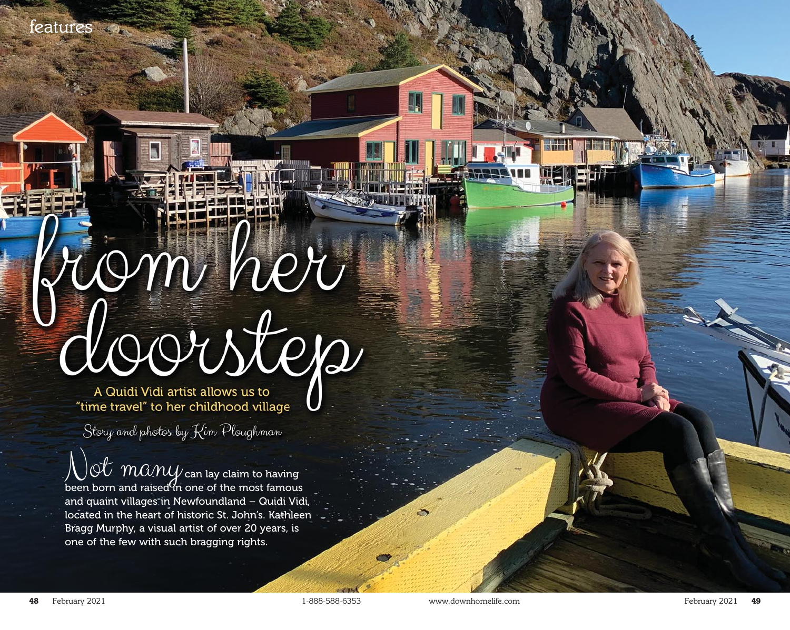# Hom her A Quidi Vidi artist allows us to

"time travel" to her childhood village

Story and photos by Kim Ploughman

 $\int\int_{\mathbb{C}}\int \mathcal{M}$   $\mathcal{M}$   $\mathcal{M}$   $\mathcal{M}$   $\mathcal{M}$   $\mathcal{M}$  can lay claim to having been born and raised in one of the most famous and quaint villages in Newfoundland – Quidi Vidi, located in the heart of historic St. John's. Kathleen Bragg Murphy, a visual artist of over 20 years, is one of the few with such bragging rights.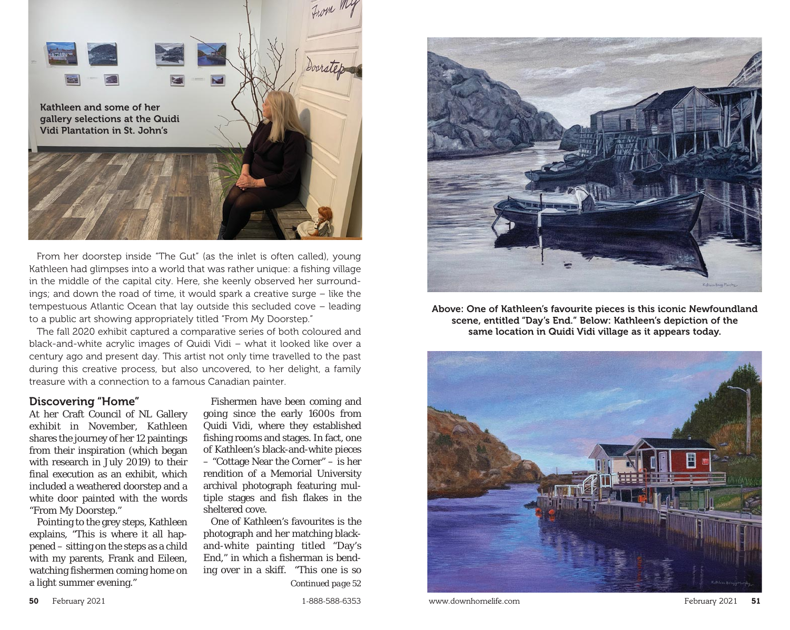

From her doorstep inside "The Gut" (as the inlet is often called), young Kathleen had glimpses into a world that was rather unique: a fishing village in the middle of the capital city. Here, she keenly observed her surroundings; and down the road of time, it would spark a creative surge – like the tempestuous Atlantic Ocean that lay outside this secluded cove – leading to a public art showing appropriately titled "From My Doorstep."

The fall 2020 exhibit captured a comparative series of both coloured and black-and-white acrylic images of Quidi Vidi – what it looked like over a century ago and present day. This artist not only time travelled to the past during this creative process, but also uncovered, to her delight, a family treasure with a connection to a famous Canadian painter.

## Discovering "Home"

At her Craft Council of NL Gallery exhibit in November, Kathleen shares the journey of her 12 paintings from their inspiration (which began with research in July 2019) to their final execution as an exhibit, which included a weathered doorstep and a white door painted with the words "From My Doorstep."

Pointing to the grey steps, Kathleen explains, "This is where it all happened – sitting on the steps as a child with my parents, Frank and Eileen, watching fishermen coming home on a light summer evening."

Fishermen have been coming and going since the early 1600s from Quidi Vidi, where they established fishing rooms and stages. In fact, one of Kathleen's black-and-white pieces – "Cottage Near the Corner" – is her rendition of a Memorial University archival photograph featuring multiple stages and fish flakes in the sheltered cove.

One of Kathleen's favourites is the photograph and her matching blackand-white painting titled "Day's End," in which a fisherman is bending over in a skiff. "This one is so *Continued page 52*



Above: One of Kathleen's favourite pieces is this iconic Newfoundland scene, entitled "Day's End." Below: Kathleen's depiction of the same location in Quidi Vidi village as it appears today.



*50 February 2021 1-888-588-6353 www.downhomelife.com February 2021 51*